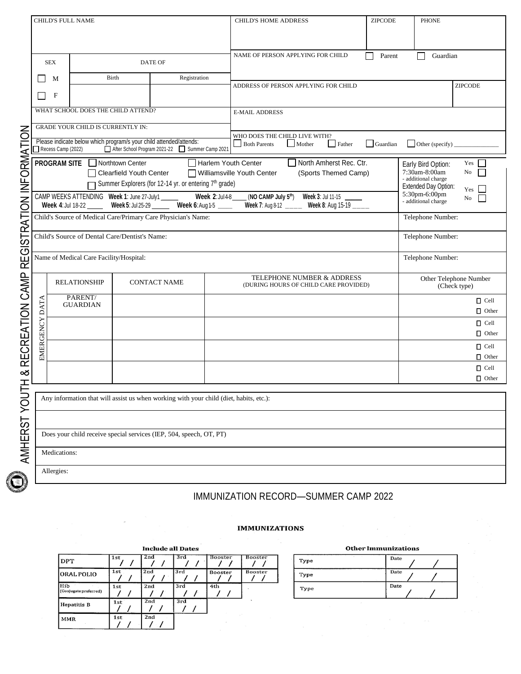|                               |                  |                     | <b>CHILD'S FULL NAME</b>                                                                         |                                               |                                                                                                                       | <b>CHILD'S HOME ADDRESS</b>                                                                                        | <b>ZIPCODE</b>  | <b>PHONE</b>                                                                       |                             |
|-------------------------------|------------------|---------------------|--------------------------------------------------------------------------------------------------|-----------------------------------------------|-----------------------------------------------------------------------------------------------------------------------|--------------------------------------------------------------------------------------------------------------------|-----------------|------------------------------------------------------------------------------------|-----------------------------|
|                               |                  |                     |                                                                                                  |                                               |                                                                                                                       | NAME OF PERSON APPLYING FOR CHILD                                                                                  | Parent          | Guardian                                                                           |                             |
|                               |                  | <b>SEX</b>          |                                                                                                  |                                               | DATE OF                                                                                                               |                                                                                                                    |                 |                                                                                    |                             |
|                               |                  | M<br>F              | <b>Birth</b>                                                                                     |                                               | Registration                                                                                                          | ADDRESS OF PERSON APPLYING FOR CHILD                                                                               |                 |                                                                                    | <b>ZIPCODE</b>              |
|                               |                  |                     | WHAT SCHOOL DOES THE CHILD ATTEND?                                                               |                                               |                                                                                                                       | <b>E-MAIL ADDRESS</b>                                                                                              |                 |                                                                                    |                             |
|                               |                  |                     | <b>GRADE YOUR CHILD IS CURRENTLY IN:</b>                                                         |                                               |                                                                                                                       |                                                                                                                    |                 |                                                                                    |                             |
|                               |                  | Recess Camp (2022)  |                                                                                                  |                                               | Please indicate below which program/s your child attended/attends:<br>After School Program 2021-22   Summer Camp 2021 | WHO DOES THE CHILD LIVE WITH?<br>Mother<br><b>Both Parents</b><br>Father                                           | $\Box$ Guardian | Other (specify) $\frac{1}{\sqrt{2\pi}}$                                            |                             |
| ON INFORM                     |                  | <b>PROGRAM SITE</b> |                                                                                                  | Northtown Center<br>□ Clearfield Youth Center | Summer Explorers (for 12-14 yr. or entering 7 <sup>th</sup> grade)                                                    | North Amherst Rec. Ctr.<br>Harlem Youth Center<br>□ Williamsville Youth Center<br>(Sports Themed Camp)             |                 | Early Bird Option:<br>7:30am-8:00am<br>- additional charge<br>Extended Day Option: | Yes<br>No<br>Yes            |
|                               |                  |                     | CAMP WEEKS ATTENDING  Week 1: June 27-July1 ______<br>Week 4: Jul 18-22 ______ Week 5: Jul 25-29 |                                               | Week 2: Jul 4-8<br>Week 6: Aug 1-5                                                                                    | $\frac{1}{2}$ (NO CAMP July 5 <sup>th</sup> )<br>Week 3: Jul 11-15<br>Week 7: Aug 8-12 ____ Week 8: Aug 15-19 ____ |                 | 5:30pm-6:00pm<br>- additional charge                                               | No                          |
| -RAT                          |                  |                     |                                                                                                  |                                               | Child's Source of Medical Care/Primary Care Physician's Name:                                                         |                                                                                                                    |                 | Telephone Number:                                                                  |                             |
| $\overline{\mathcal{S}}$      |                  |                     | Child's Source of Dental Care/Dentist's Name:                                                    |                                               |                                                                                                                       |                                                                                                                    |                 | Telephone Number:                                                                  |                             |
| ငှ<br>$\overline{\mathbf{r}}$ |                  |                     | Name of Medical Care Facility/Hospital:                                                          |                                               |                                                                                                                       |                                                                                                                    |                 | Telephone Number:                                                                  |                             |
|                               |                  |                     | <b>RELATIONSHIP</b>                                                                              |                                               | <b>CONTACT NAME</b>                                                                                                   | TELEPHONE NUMBER & ADDRESS<br>(DURING HOURS OF CHILD CARE PROVIDED)                                                |                 | (Check type)                                                                       | Other Telephone Number      |
|                               | c<br>DAT         |                     | PARENT/<br><b>GUARDIAN</b>                                                                       |                                               |                                                                                                                       |                                                                                                                    |                 |                                                                                    | $\Box$ Cell<br>$\Box$ Other |
| EATION CAMP                   |                  |                     |                                                                                                  |                                               |                                                                                                                       |                                                                                                                    |                 |                                                                                    | $\Box$ Cell<br>$\Box$ Other |
| 麉                             | <b>EMERGENCY</b> |                     |                                                                                                  |                                               |                                                                                                                       |                                                                                                                    |                 |                                                                                    | $\Box$ Cell<br>$\Box$ Other |
| M<br>M<br>⊗                   |                  |                     |                                                                                                  |                                               |                                                                                                                       |                                                                                                                    |                 |                                                                                    | $\Box$ Cell<br>$\Box$ Other |
| H                             |                  |                     |                                                                                                  |                                               |                                                                                                                       |                                                                                                                    |                 |                                                                                    |                             |
| VOU                           |                  |                     |                                                                                                  |                                               | Any information that will assist us when working with your child (diet, habits, etc.):                                |                                                                                                                    |                 |                                                                                    |                             |
|                               |                  |                     |                                                                                                  |                                               |                                                                                                                       |                                                                                                                    |                 |                                                                                    |                             |
| AMHERST                       |                  |                     |                                                                                                  |                                               | Does your child receive special services (IEP, 504, speech, OT, PT)                                                   |                                                                                                                    |                 |                                                                                    |                             |
|                               |                  | Medications:        |                                                                                                  |                                               |                                                                                                                       |                                                                                                                    |                 |                                                                                    |                             |
|                               |                  | Allergies:          |                                                                                                  |                                               |                                                                                                                       |                                                                                                                    |                 |                                                                                    |                             |

## IMMUNIZATION RECORD—SUMMER CAMP 2022

## **IMMUNIZATIONS**

| <b>Include all Dates</b>     |     |  |     |  |     |  |                |                |
|------------------------------|-----|--|-----|--|-----|--|----------------|----------------|
| <b>DPT</b>                   | 1st |  | 2nd |  | 3rd |  | <b>Booster</b> | <b>Booster</b> |
| <b>ORAL POLIO</b>            | 1st |  | 2nd |  | 3rd |  | <b>Booster</b> | <b>Booster</b> |
| Hib<br>(Conjugate preferred) | 1st |  | 2nd |  | 3rd |  | 4th            |                |
| <b>Hepatitis B</b>           | 1st |  | 2nd |  | 3rd |  |                | $\lambda$      |
| <b>MMR</b>                   | 1st |  | 2nd |  |     |  |                | a.             |

| <b>Other Immunizations</b> |      |  |  |  |
|----------------------------|------|--|--|--|
| Type                       | Date |  |  |  |
| Type                       | Date |  |  |  |
| Type                       | Date |  |  |  |